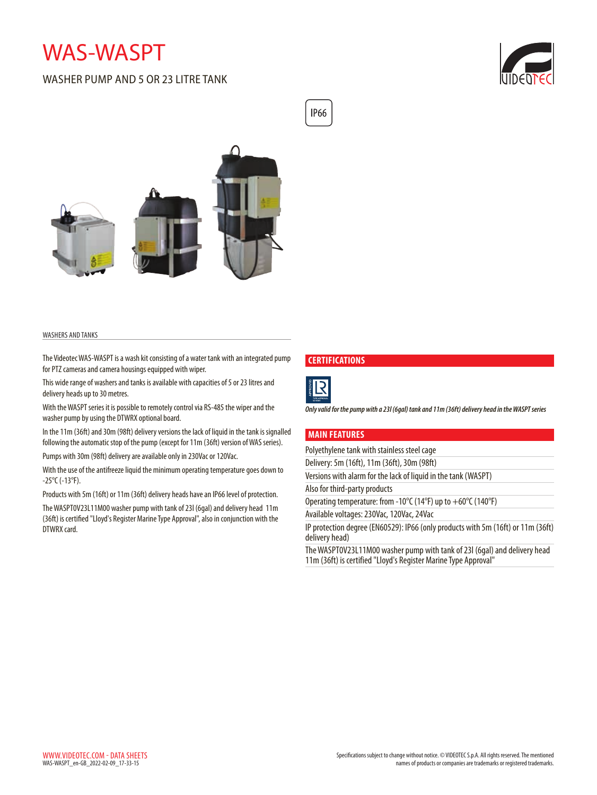# WAS-WASPT

# WASHER PUMP AND 5 OR 23 LITRE TANK





#### WASHERS AND TANKS

The Videotec WAS-WASPT is a wash kit consisting of a water tank with an integrated pump for PTZ cameras and camera housings equipped with wiper.

This wide range of washers and tanks is available with capacities of 5 or 23 litres and delivery heads up to 30 metres.

With the WASPT series it is possible to remotely control via RS-485 the wiper and the washer pump by using the DTWRX optional board.

In the 11m (36ft) and 30m (98ft) delivery versions the lack of liquid in the tank is signalled following the automatic stop of the pump (except for 11m (36ft) version of WAS series).

Pumps with 30m (98ft) delivery are available only in 230Vac or 120Vac.

With the use of the antifreeze liquid the minimum operating temperature goes down to -25°C (-13°F).

Products with 5m (16ft) or 11m (36ft) delivery heads have an IP66 level of protection.

The WASPT0V23L11M00 washer pump with tank of 23l (6gal) and delivery head 11m (36ft) is certified "Lloyd's Register Marine Type Approval", also in conjunction with the DTWRX card.

#### **CERTIFICATIONS**



**IP66** 

*Only valid for the pump with a 23l (6gal) tank and 11m (36ft) delivery head in the WASPT series*

### **MAIN FEATURES**

Polyethylene tank with stainless steel cage

Delivery: 5m (16ft), 11m (36ft), 30m (98ft)

Versions with alarm for the lack of liquid in the tank (WASPT)

Also for third-party products

Operating temperature: from -10°C (14°F) up to +60°C (140°F)

Available voltages: 230Vac, 120Vac, 24Vac

IP protection degree (EN60529): IP66 (only products with 5m (16ft) or 11m (36ft) delivery head)

The WASPT0V23L11M00 washer pump with tank of 23l (6gal) and delivery head 11m (36ft) is certified "Lloyd's Register Marine Type Approval"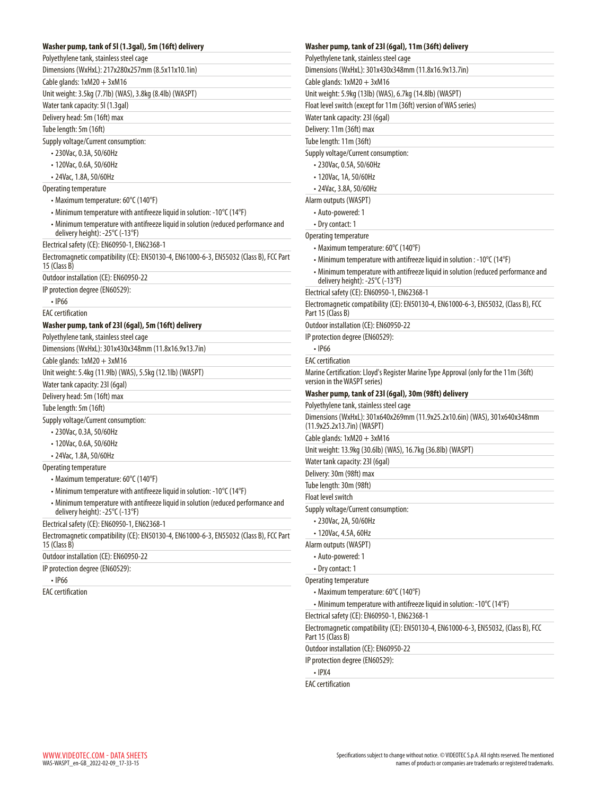## **Washer pump, tank of 5l (1.3gal), 5m (16ft) delivery**

| Polyethylene tank, stainless steel cage                                                                              |
|----------------------------------------------------------------------------------------------------------------------|
| Dimensions (WxHxL): 217x280x257mm (8.5x11x10.1in)                                                                    |
| Cable glands: $1xM20 + 3xM16$                                                                                        |
| Unit weight: 3.5kg (7.7lb) (WAS), 3.8kg (8.4lb) (WASPT)                                                              |
| Water tank capacity: 5I (1.3gal)                                                                                     |
| Delivery head: 5m (16ft) max                                                                                         |
| Tube length: 5m (16ft)                                                                                               |
| Supply voltage/Current consumption:                                                                                  |
| · 230Vac, 0.3A, 50/60Hz                                                                                              |
| • 120Vac. 0.6A. 50/60Hz                                                                                              |
| • 24Vac, 1.8A, 50/60Hz                                                                                               |
| Operating temperature                                                                                                |
| • Maximum temperature: 60°C (140°F)                                                                                  |
| • Minimum temperature with antifreeze liquid in solution: -10°C (14°F)                                               |
| • Minimum temperature with antifreeze liquid in solution (reduced performance and<br>delivery height): -25°C (-13°F) |
| Electrical safety (CE): EN60950-1, EN62368-1                                                                         |
| Electromagnetic compatibility (CE): EN50130-4, EN61000-6-3, EN55032 (Class B), FCC Part<br>15 (Class B)              |
| Outdoor installation (CE): EN60950-22                                                                                |
| IP protection degree (EN60529):                                                                                      |
| $\cdot$ IP66                                                                                                         |
| <b>EAC</b> certification                                                                                             |
| Washer pump, tank of 231 (6gal), 5m (16ft) delivery                                                                  |
| Polyethylene tank, stainless steel cage                                                                              |
| Dimensions (WxHxL): 301x430x348mm (11.8x16.9x13.7in)                                                                 |
| Cable glands: $1xM20 + 3xM16$                                                                                        |
| Unit weight: 5.4kg (11.9lb) (WAS), 5.5kg (12.1lb) (WASPT)                                                            |
| Water tank capacity: 231 (6gal)                                                                                      |
| Delivery head: 5m (16ft) max                                                                                         |
| Tube length: 5m (16ft)                                                                                               |
| Supply voltage/Current consumption:                                                                                  |
|                                                                                                                      |
| • 230Vac, 0.3A, 50/60Hz                                                                                              |
| • 120Vac, 0.6A, 50/60Hz                                                                                              |
| · 24Vac, 1.8A, 50/60Hz                                                                                               |
| Operating temperature                                                                                                |
| • Maximum temperature: 60°C (140°F)                                                                                  |
| • Minimum temperature with antifreeze liquid in solution: -10°C (14°F)                                               |
| • Minimum temperature with antifreeze liquid in solution (reduced performance and<br>delivery height): -25°C (-13°F) |
| Electrical safety (CE): EN60950-1, EN62368-1                                                                         |
| Electromagnetic compatibility (CE): EN50130-4, EN61000-6-3, EN55032 (Class B), FCC Part<br>$15$ (Class B)            |
| Outdoor installation (CE): EN60950-22                                                                                |
| IP protection degree (EN60529):                                                                                      |
| $\cdot$ IP66                                                                                                         |
| <b>EAC</b> certification                                                                                             |
|                                                                                                                      |

#### **Washer pump, tank of 23l (6gal), 11m (36ft) delivery**

Polyethylene tank, stainless steel cage Dimensions (WxHxL): 301x430x348mm (11.8x16.9x13.7in) Cable glands:  $1xM20 + 3xM16$ Unit weight: 5.9kg (13lb) (WAS), 6.7kg (14.8lb) (WASPT) Float level switch (except for 11m (36ft) version of WAS series) Water tank capacity: 23l (6gal) Delivery: 11m (36ft) max Tube length: 11m (36ft) Supply voltage/Current consumption: • 230Vac, 0.5A, 50/60Hz • 120Vac, 1A, 50/60Hz • 24Vac, 3.8A, 50/60Hz Alarm outputs (WASPT) • Auto-powered: 1 • Dry contact: 1 Operating temperature • Maximum temperature: 60°C (140°F) • Minimum temperature with antifreeze liquid in solution : -10°C (14°F) • Minimum temperature with antifreeze liquid in solution (reduced performance and delivery height): -25°C (-13°F) Electrical safety (CE): EN60950-1, EN62368-1 Electromagnetic compatibility (CE): EN50130-4, EN61000-6-3, EN55032, (Class B), FCC Part 15 (Class B) Outdoor installation (CE): EN60950-22 IP protection degree (EN60529): • IP66 EAC certification Marine Certification: Lloyd's Register Marine Type Approval (only for the 11m (36ft) version in the WASPT series) **Washer pump, tank of 23l (6gal), 30m (98ft) delivery** Polyethylene tank, stainless steel cage Dimensions (WxHxL): 301x640x269mm (11.9x25.2x10.6in) (WAS), 301x640x348mm (11.9x25.2x13.7in) (WASPT) Cable glands:  $1xM20 + 3xM16$ Unit weight: 13.9kg (30.6lb) (WAS), 16.7kg (36.8lb) (WASPT) Water tank capacity: 23l (6gal) Delivery: 30m (98ft) max Tube length: 30m (98ft) Float level switch Supply voltage/Current consumption: • 230Vac, 2A, 50/60Hz • 120Vac, 4.5A, 60Hz Alarm outputs (WASPT) • Auto-powered: 1 • Dry contact: 1 Operating temperature • Maximum temperature: 60°C (140°F) • Minimum temperature with antifreeze liquid in solution: -10°C (14°F) Electrical safety (CE): EN60950-1, EN62368-1 Electromagnetic compatibility (CE): EN50130-4, EN61000-6-3, EN55032, (Class B), FCC Part 15 (Class B) Outdoor installation (CE): EN60950-22 IP protection degree (EN60529): • IPX4

EAC certification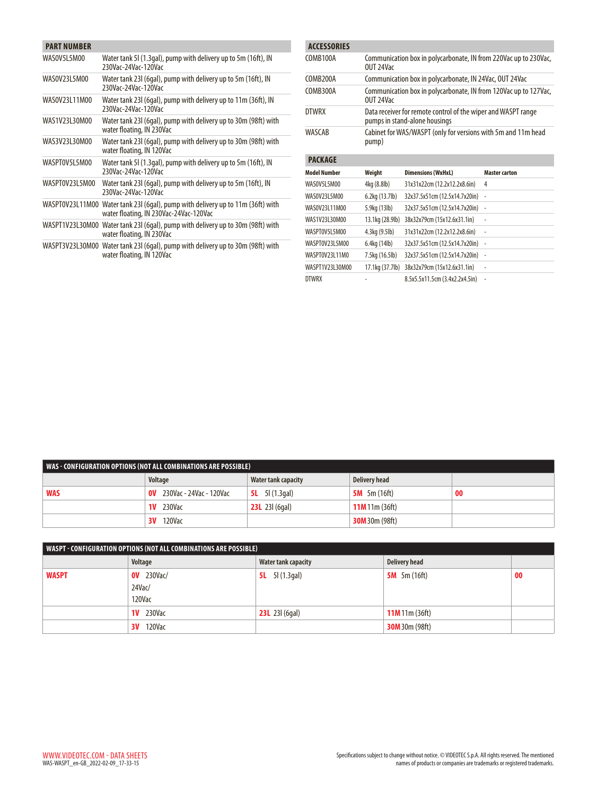| <b>PART NUMBER</b> |                                                                                                                           |
|--------------------|---------------------------------------------------------------------------------------------------------------------------|
| WASOV5L5M00        | Water tank 51 (1.3gal), pump with delivery up to 5m (16ft), IN<br>230Vac-24Vac-120Vac                                     |
| WAS0V23L5M00       | Water tank 231 (6gal), pump with delivery up to 5m (16ft), IN<br>230Vac-24Vac-120Vac                                      |
| WAS0V23L11M00      | Water tank 23I (6qal), pump with delivery up to 11m (36ft), IN<br>230Vac-24Vac-120Vac                                     |
| WAS1V23L30M00      | Water tank 231 (6gal), pump with delivery up to 30m (98ft) with<br>water floating, IN 230Vac                              |
| WAS3V23130M00      | Water tank 231 (6gal), pump with delivery up to 30m (98ft) with<br>water floating, IN 120Vac                              |
| WASPTOV5L5M00      | Water tank 51 (1.3gal), pump with delivery up to 5m (16ft), IN<br>230Vac-24Vac-120Vac                                     |
| WASPT0V23L5M00     | Water tank 231 (6gal), pump with delivery up to 5m (16ft), IN<br>230Vac-24Vac-120Vac                                      |
|                    | WASPT0V23L11M00 Water tank 23I (6gal), pump with delivery up to 11m (36ft) with<br>water floating, IN 230Vac-24Vac-120Vac |
| WASPT1V23L30M00    | Water tank 23I (6gal), pump with delivery up to 30m (98ft) with<br>water floating, IN 230Vac                              |
|                    | WASPT3V23L30M00 Water tank 231 (6gal), pump with delivery up to 30m (98ft) with<br>water floating, IN 120Vac              |

| <b>ACCESSORIES</b>  |                                                                               |                                                                                                |                      |  |  |
|---------------------|-------------------------------------------------------------------------------|------------------------------------------------------------------------------------------------|----------------------|--|--|
| COMB100A            | Communication box in polycarbonate, IN from 220Vac up to 230Vac,<br>OUT 24Vac |                                                                                                |                      |  |  |
| COMB200A            | Communication box in polycarbonate, IN 24Vac, OUT 24Vac                       |                                                                                                |                      |  |  |
| COMB300A            | OUT 24Vac                                                                     | Communication box in polycarbonate, IN from 120Vac up to 127Vac,                               |                      |  |  |
| DTWRX               |                                                                               | Data receiver for remote control of the wiper and WASPT range<br>pumps in stand-alone housings |                      |  |  |
| WASCAR              | pump)                                                                         | Cabinet for WAS/WASPT (only for versions with 5m and 11m head                                  |                      |  |  |
| <b>PACKAGE</b>      |                                                                               |                                                                                                |                      |  |  |
| <b>Model Number</b> | Weight                                                                        | <b>Dimensions (WxHxL)</b>                                                                      | <b>Master carton</b> |  |  |
| WASOV5L5M00         | 4kg (8.8lb)                                                                   | 31x31x22cm (12.2x12.2x8.6in)                                                                   | 4                    |  |  |
| WAS0V23L5M00        | 6.2kg (13.7lb)                                                                | 32x37.5x51cm (12.5x14.7x20in)                                                                  | ÷,                   |  |  |
| WAS0V23L11M00       | 5.9kg (13lb)                                                                  | 32x37.5x51cm (12.5x14.7x20in)                                                                  | $\overline{a}$       |  |  |
| WAS1V23L30M00       | 13.1kg (28.9lb)                                                               | 38x32x79cm (15x12.6x31.1in)                                                                    | ÷,                   |  |  |
| WASPTOV5L5M00       | 4.3kg (9.5lb)                                                                 | 31x31x22cm (12.2x12.2x8.6in)                                                                   | $\overline{a}$       |  |  |
| WASPT0V23L5M00      | 6.4kg (14lb)                                                                  | 32x37.5x51cm (12.5x14.7x20in)                                                                  | ÷,                   |  |  |
| WASPTOV23L11M0      | 7.5kg (16.5lb)                                                                | 32x37.5x51cm (12.5x14.7x20in)                                                                  | ÷                    |  |  |
| WASPT1V23L30M00     | 17.1kg (37.7lb)                                                               | 38x32x79cm (15x12.6x31.1in)                                                                    | ÷,                   |  |  |
| <b>DTWRX</b>        |                                                                               | 8.5x5.5x11.5cm (3.4x2.2x4.5in)                                                                 | ÷,                   |  |  |

| WAS - CONFIGURATION OPTIONS (NOT ALL COMBINATIONS ARE POSSIBLE) |                               |                         |                       |    |  |  |  |  |
|-----------------------------------------------------------------|-------------------------------|-------------------------|-----------------------|----|--|--|--|--|
|                                                                 | Voltage                       | Water tank capacity     | <b>Delivery head</b>  |    |  |  |  |  |
| <b>WAS</b>                                                      | 230Vac - 24Vac - 120Vac<br>0V | <b>5L</b> 5l $(1.3qal)$ | <b>5M</b> 5m $(16ft)$ | 00 |  |  |  |  |
|                                                                 | <b>1V</b> 230Vac              | <b>23L</b> 23I (6qal)   | $11M$ 11m (36ft)      |    |  |  |  |  |
|                                                                 | 120Vac<br>3V ·                |                         | <b>30M</b> 30m (98ft) |    |  |  |  |  |

| WASPT - CONFIGURATION OPTIONS (NOT ALL COMBINATIONS ARE POSSIBLE) |                   |                         |                       |    |  |  |  |
|-------------------------------------------------------------------|-------------------|-------------------------|-----------------------|----|--|--|--|
|                                                                   | Voltage           | Water tank capacity     | Delivery head         |    |  |  |  |
| <b>WASPT</b>                                                      | <b>OV</b> 230Vac/ | 5I (1.3gal)<br>5L –     | 5 $M$ 5m (16ft)       | 00 |  |  |  |
|                                                                   | $24$ Vac/         |                         |                       |    |  |  |  |
|                                                                   | 120Vac            |                         |                       |    |  |  |  |
|                                                                   | <b>1V</b> 230Vac  | <b>23L</b> 23l $(6qal)$ | $11M$ 11m (36ft)      |    |  |  |  |
|                                                                   | 120Vac<br>3V      |                         | <b>30M</b> 30m (98ft) |    |  |  |  |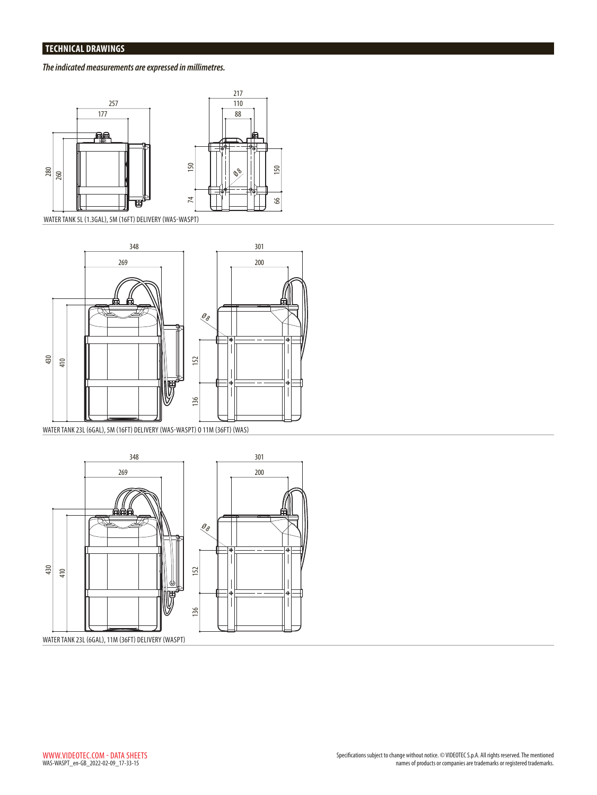# **TECHNICAL DRAWINGS**

# *The indicated measurements are expressed in millimetres.*



WATER TANK 5L (1.3GAL), 5M (16FT) DELIVERY (WAS-WASPT)



WATER TANK 23L (6GAL), 5M (16FT) DELIVERY (WAS-WASPT) O 11M (36FT) (WAS)